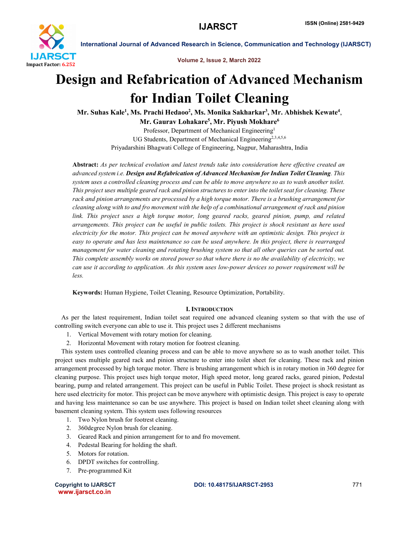

Volume 2, Issue 2, March 2022

# Design and Refabrication of Advanced Mechanism for Indian Toilet Cleaning

Mr. Suhas Kale<sup>1</sup>, Ms. Prachi Hedaoo<sup>2</sup>, Ms. Monika Sakharkar<sup>3</sup>, Mr. Abhishek Kewate<sup>4</sup>,

Mr. Gaurav Lohakare<sup>5</sup>, Mr. Piyush Mokhare<sup>6</sup>

Professor, Department of Mechanical Engineering<sup>1</sup> UG Students, Department of Mechanical Engineering<sup>2,3,4,5,6</sup> Priyadarshini Bhagwati College of Engineering, Nagpur, Maharashtra, India

Abstract: *As per technical evolution and latest trends take into consideration here effective created an advanced system i.e. Design and Refabrication of Advanced Mechanism for Indian Toilet Cleaning. This system uses a controlled cleaning process and can be able to move anywhere so as to wash another toilet. This project uses multiple geared rack and pinion structures to enter into the toilet seat for cleaning. These rack and pinion arrangements are processed by a high torque motor. There is a brushing arrangement for cleaning along with to and fro movement with the help of a combinational arrangement of rack and pinion link. This project uses a high torque motor, long geared racks, geared pinion, pump, and related arrangements. This project can be useful in public toilets. This project is shock resistant as here used electricity for the motor. This project can be moved anywhere with an optimistic design. This project is easy to operate and has less maintenance so can be used anywhere. In this project, there is rearranged management for water cleaning and rotating brushing system so that all other queries can be sorted out. This complete assembly works on stored power so that where there is no the availability of electricity, we can use it according to application. As this system uses low-power devices so power requirement will be less.*

Keywords: Human Hygiene, Toilet Cleaning, Resource Optimization, Portability.

# I. INTRODUCTION

 As per the latest requirement, Indian toilet seat required one advanced cleaning system so that with the use of controlling switch everyone can able to use it. This project uses 2 different mechanisms

- 1. Vertical Movement with rotary motion for cleaning.
- 2. Horizontal Movement with rotary motion for footrest cleaning.

 This system uses controlled cleaning process and can be able to move anywhere so as to wash another toilet. This project uses multiple geared rack and pinion structure to enter into toilet sheet for cleaning. These rack and pinion arrangement processed by high torque motor. There is brushing arrangement which is in rotary motion in 360 degree for cleaning purpose. This project uses high torque motor, High speed motor, long geared racks, geared pinion, Pedestal bearing, pump and related arrangement. This project can be useful in Public Toilet. These project is shock resistant as here used electricity for motor. This project can be move anywhere with optimistic design. This project is easy to operate and having less maintenance so can be use anywhere. This project is based on Indian toilet sheet cleaning along with basement cleaning system. This system uses following resources

- 1. Two Nylon brush for footrest cleaning.
- 2. 360degree Nylon brush for cleaning.
- 3. Geared Rack and pinion arrangement for to and fro movement.
- 4. Pedestal Bearing for holding the shaft.
- 5. Motors for rotation.
- 6. DPDT switches for controlling.
- 7. Pre-programmed Kit

www.ijarsct.co.in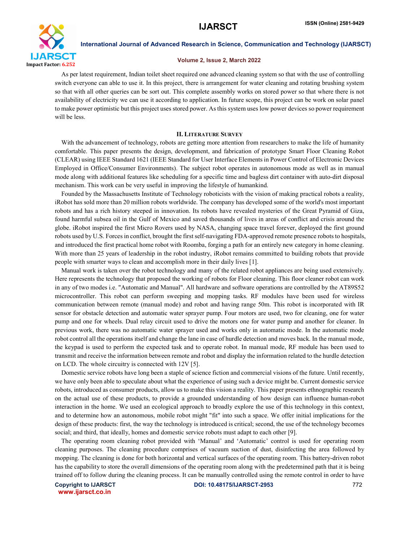

## Volume 2, Issue 2, March 2022

 As per latest requirement, Indian toilet sheet required one advanced cleaning system so that with the use of controlling switch everyone can able to use it. In this project, there is arrangement for water cleaning and rotating brushing system so that with all other queries can be sort out. This complete assembly works on stored power so that where there is not availability of electricity we can use it according to application. In future scope, this project can be work on solar panel to make power optimistic but this project uses stored power. As this system uses low power devices so power requirement will be less.

#### II. LITERATURE SURVEY

 With the advancement of technology, robots are getting more attention from researchers to make the life of humanity comfortable. This paper presents the design, development, and fabrication of prototype Smart Floor Cleaning Robot (CLEAR) using IEEE Standard 1621 (IEEE Standard for User Interface Elements in Power Control of Electronic Devices Employed in Office/Consumer Environments). The subject robot operates in autonomous mode as well as in manual mode along with additional features like scheduling for a specific time and bagless dirt container with auto-dirt disposal mechanism. This work can be very useful in improving the lifestyle of humankind.

 Founded by the Massachusetts Institute of Technology roboticists with the vision of making practical robots a reality, iRobot has sold more than 20 million robots worldwide. The company has developed some of the world's most important robots and has a rich history steeped in innovation. Its robots have revealed mysteries of the Great Pyramid of Giza, found harmful subsea oil in the Gulf of Mexico and saved thousands of lives in areas of conflict and crisis around the globe. iRobot inspired the first Micro Rovers used by NASA, changing space travel forever, deployed the first ground robots used by U.S. Forces in conflict, brought the first self-navigating FDA-approved remote presence robots to hospitals, and introduced the first practical home robot with Roomba, forging a path for an entirely new category in home cleaning. With more than 25 years of leadership in the robot industry, iRobot remains committed to building robots that provide people with smarter ways to clean and accomplish more in their daily lives [1].

 Manual work is taken over the robot technology and many of the related robot appliances are being used extensively. Here represents the technology that proposed the working of robots for Floor cleaning. This floor cleaner robot can work in any of two modes i.e. "Automatic and Manual". All hardware and software operations are controlled by the AT89S52 microcontroller. This robot can perform sweeping and mopping tasks. RF modules have been used for wireless communication between remote (manual mode) and robot and having range 50m. This robot is incorporated with IR sensor for obstacle detection and automatic water sprayer pump. Four motors are used, two for cleaning, one for water pump and one for wheels. Dual relay circuit used to drive the motors one for water pump and another for cleaner. In previous work, there was no automatic water sprayer used and works only in automatic mode. In the automatic mode robot control all the operations itself and change the lane in case of hurdle detection and moves back. In the manual mode, the keypad is used to perform the expected task and to operate robot. In manual mode, RF module has been used to transmit and receive the information between remote and robot and display the information related to the hurdle detection on LCD. The whole circuitry is connected with 12V [5].

 Domestic service robots have long been a staple of science fiction and commercial visions of the future. Until recently, we have only been able to speculate about what the experience of using such a device might be. Current domestic service robots, introduced as consumer products, allow us to make this vision a reality. This paper presents ethnographic research on the actual use of these products, to provide a grounded understanding of how design can influence human-robot interaction in the home. We used an ecological approach to broadly explore the use of this technology in this context, and to determine how an autonomous, mobile robot might "fit" into such a space. We offer initial implications for the design of these products: first, the way the technology is introduced is critical; second, the use of the technology becomes social; and third, that ideally, homes and domestic service robots must adapt to each other [9].

 The operating room cleaning robot provided with 'Manual' and 'Automatic' control is used for operating room cleaning purposes. The cleaning procedure comprises of vacuum suction of dust, disinfecting the area followed by mopping. The cleaning is done for both horizontal and vertical surfaces of the operating room. This battery-driven robot has the capability to store the overall dimensions of the operating room along with the predetermined path that it is being trained off to follow during the cleaning process. It can be manually controlled using the remote control in order to have

www.ijarsct.co.in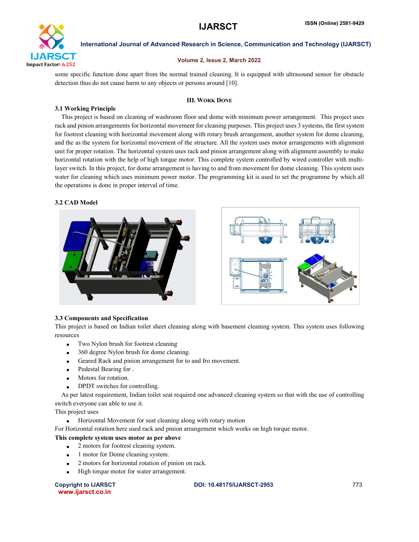

## Volume 2, Issue 2, March 2022

some specific function done apart from the normal trained cleaning. It is equipped with ultrasound sensor for obstacle detection thus do not cause harm to any objects or persons around [10].

# III. WORK DONE

#### 3.1 Working Principle

 This project is based on cleaning of washroom floor and dome with minimum power arrangement. This project uses rack and pinion arrangements for horizontal movement for cleaning purposes. This project uses 3 systems, the first system for footrest cleaning with horizontal movement along with rotary brush arrangement, another system for dome cleaning, and the as the system for horizontal movement of the structure. All the system uses motor arrangements with alignment unit for proper rotation. The horizontal system uses rack and pinion arrangement along with alignment assembly to make horizontal rotation with the help of high torque motor. This complete system controlled by wired controller with multilayer switch. In this project, for dome arrangement is having to and from movement for dome cleaning. This system uses water for cleaning which uses minimum power motor. The programming kit is used to set the programme by which all the operations is done in proper interval of time.

# 3.2 CAD Model



# 3.3 Components and Specification

This project is based on Indian toilet sheet cleaning along with basement cleaning system. This system uses following resources

- Two Nylon brush for footrest cleaning
- 360 degree Nylon brush for dome cleaning.
- Geared Rack and pinion arrangement for to and fro movement.
- Pedestal Bearing for .
- Motors for rotation.
- DPDT switches for controlling.

 As per latest requirement, Indian toilet seat required one advanced cleaning system so that with the use of controlling switch everyone can able to use it.

This project uses

Horizontal Movement for seat cleaning along with rotary motion

For Horizontal rotation here used rack and pinion arrangement which works on high torque motor.

# This complete system uses motor as per above

- 2 motors for footrest cleaning system.
- 1 motor for Dome cleaning system.
- 2 motors for horizontal rotation of pinion on rack.
- High torque motor for water arrangement.

www.ijarsct.co.in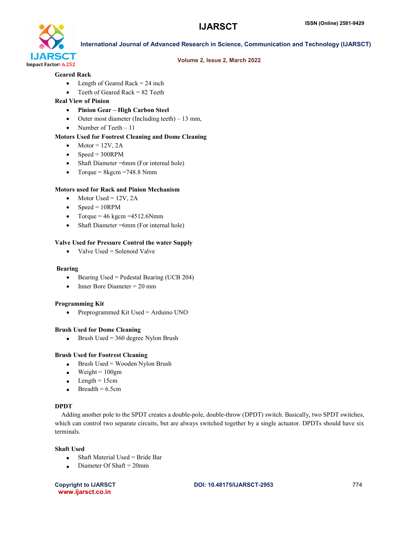

# Volume 2, Issue 2, March 2022

#### Geared Rack

- $\bullet$  Length of Geared Rack = 24 inch
- Teeth of Geared Rack = 82 Teeth

# Real View of Pinion

- Pinion Gear High Carbon Steel
- Outer most diameter (Including teeth) 13 mm,
- Number of Teeth  $-11$

# Motors Used for Footrest Cleaning and Dome Cleaning

- $\bullet$  Motor = 12V, 2A
- $\bullet$  Speed = 300RPM
- Shaft Diameter =6mm (For internal hole)
- Torque =  $8\text{kgcm} = 748.8 \text{ Nmm}$

# Motors used for Rack and Pinion Mechanism

- Motor Used =  $12V$ , 2A
- $\bullet$  Speed = 10RPM
- Torque =  $46 \text{ kgcm} = 4512.6 \text{Nmm}$
- Shaft Diameter =6mm (For internal hole)

# Valve Used for Pressure Control the water Supply

 $\bullet$  Valve Used = Solenoid Valve

#### Bearing

- Bearing Used = Pedestal Bearing (UCB 204)
- $\bullet$  Inner Bore Diameter = 20 mm

# Programming Kit

• Preprogrammed Kit Used = Arduino UNO

# Brush Used for Dome Cleaning

 $\bullet$  Brush Used = 360 degree Nylon Brush

# Brush Used for Footrest Cleaning

- $\bullet$  Brush Used = Wooden Nylon Brush
- $\bullet$  Weight = 100gm
- $\bullet$  Length = 15cm
- $Breadh = 6.5cm$

# DPDT

 Adding another pole to the SPDT creates a double-pole, double-throw (DPDT) switch. Basically, two SPDT switches, which can control two separate circuits, but are always switched together by a single actuator. DPDTs should have six terminals.

# Shaft Used

- Shaft Material Used = Bride Bar
- $\bullet$  Diameter Of Shaft = 20mm

www.ijarsct.co.in